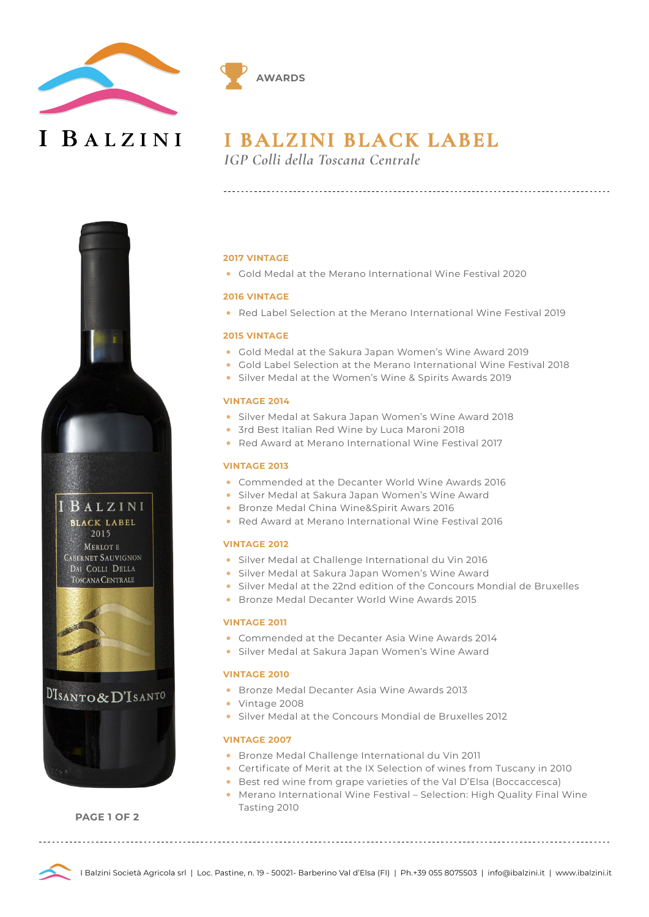

I BALZINI



*IGP Colli della Toscana Centrale*

**AWARDS**





DISANTO&D'ISANTO



**PAGE 1 OF 2**

## **2017 VINTAGE**

• Gold Medal at the Merano International Wine Festival 2020

#### **2016 VINTAGE**

• Red Label Selection at the Merano International Wine Festival 2019

#### **2015 VINTAGE**

- Gold Medal at the Sakura Japan Women's Wine Award 2019
- Gold Label Selection at the Merano International Wine Festival 2018
- Silver Medal at the Women's Wine & Spirits Awards 2019

## **VINTAGE 2014**

- Silver Medal at Sakura Japan Women's Wine Award 2018
- 3rd Best Italian Red Wine by Luca Maroni 2018
- Red Award at Merano International Wine Festival 2017

#### **VINTAGE 2013**

- Commended at the Decanter World Wine Awards 2016
- Silver Medal at Sakura Japan Women's Wine Award
- Bronze Medal China Wine&Spirit Awars 2016
- Red Award at Merano International Wine Festival 2016

#### **VINTAGE 2012**

- Silver Medal at Challenge International du Vin 2016
- Silver Medal at Sakura Japan Women's Wine Award
- Silver Medal at the 22nd edition of the Concours Mondial de Bruxelles
- Bronze Medal Decanter World Wine Awards 2015

#### **VINTAGE 2011**

- Commended at the Decanter Asia Wine Awards 2014
- Silver Medal at Sakura Japan Women's Wine Award

#### **VINTAGE 2010**

- Bronze Medal Decanter Asia Wine Awards 2013
- Vintage 2008
- Silver Medal at the Concours Mondial de Bruxelles 2012

## **VINTAGE 2007**

- Bronze Medal Challenge International du Vin 2011
- Certificate of Merit at the IX Selection of wines from Tuscany in 2010
- Best red wine from grape varieties of the Val D'Elsa (Boccaccesca)
- Merano International Wine Festival Selection: High Quality Final Wine Tasting 2010